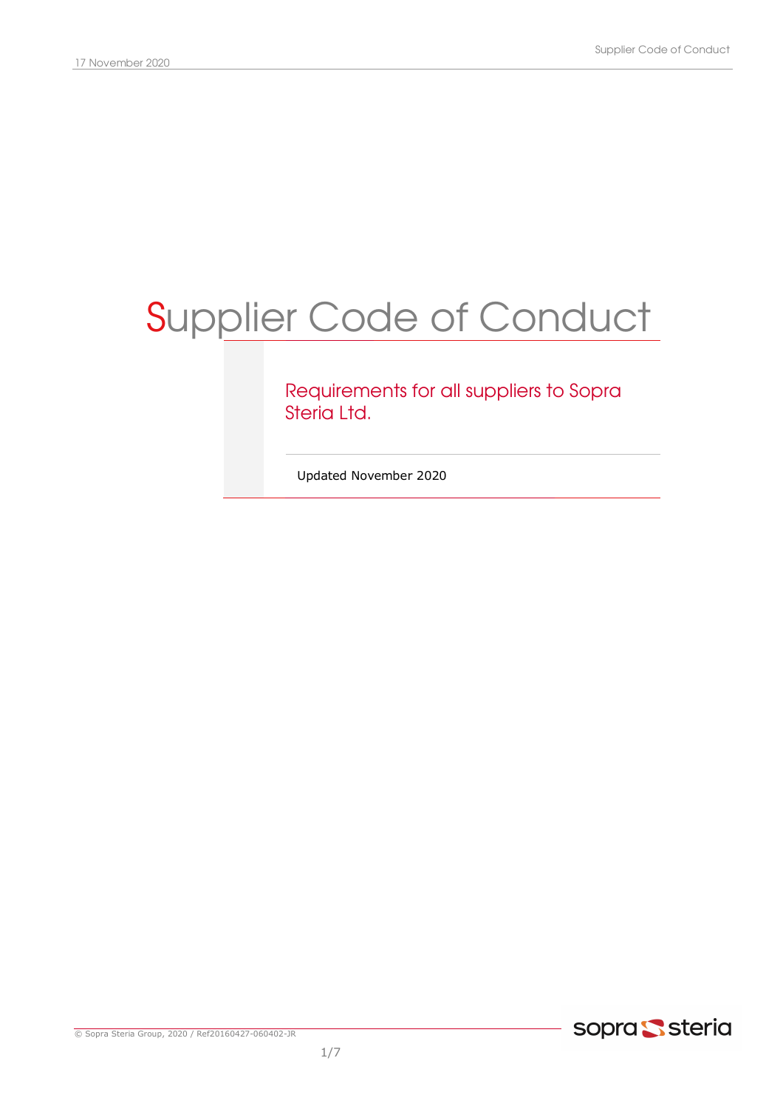# Supplier Code of Conduct

## Requirements for all suppliers to Sopra Steria Ltd.

Updated November 2020

© Sopra Steria Group, 2020 / Ref20160427-060402-JR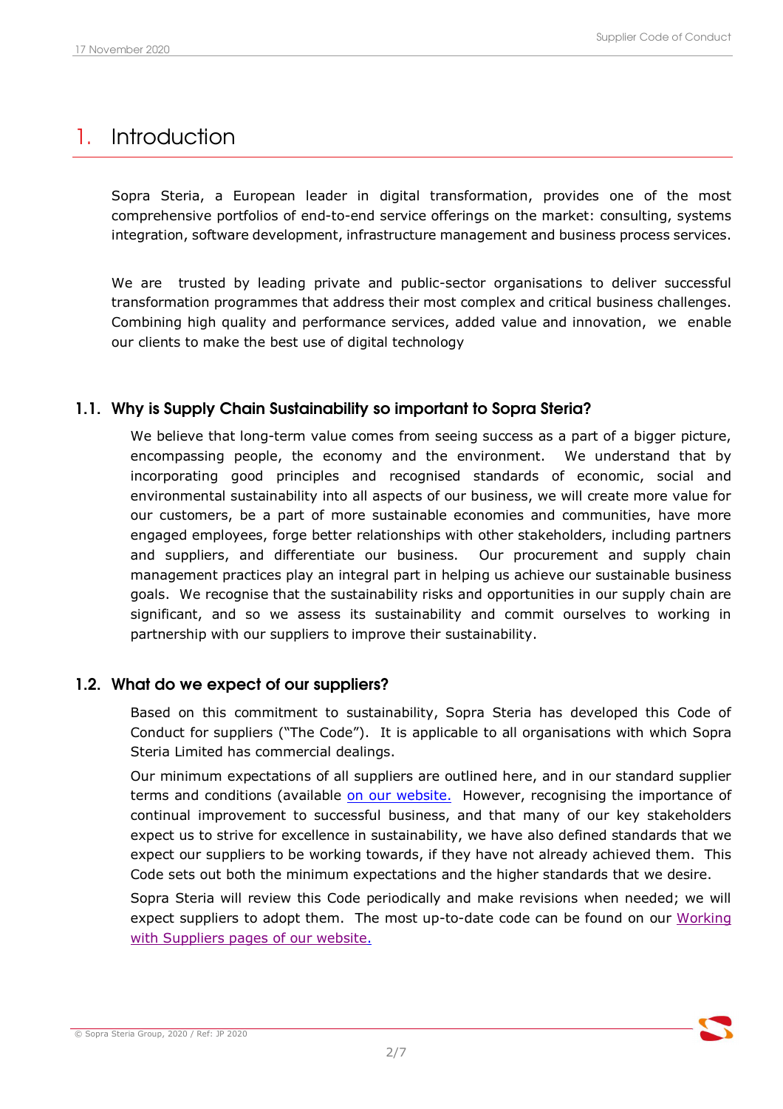# 1. Introduction

Sopra Steria, a European leader in digital transformation, provides one of the most comprehensive portfolios of end-to-end service offerings on the market: consulting, systems integration, software development, infrastructure management and business process services.

We are trusted by leading private and public-sector organisations to deliver successful transformation programmes that address their most complex and critical business challenges. Combining high quality and performance services, added value and innovation, we enable our clients to make the best use of digital technology

### 1.1. Why is Supply Chain Sustainability so important to Sopra Steria?

We believe that long-term value comes from seeing success as a part of a bigger picture, encompassing people, the economy and the environment. We understand that by incorporating good principles and recognised standards of economic, social and environmental sustainability into all aspects of our business, we will create more value for our customers, be a part of more sustainable economies and communities, have more engaged employees, forge better relationships with other stakeholders, including partners and suppliers, and differentiate our business. Our procurement and supply chain management practices play an integral part in helping us achieve our sustainable business goals. We recognise that the sustainability risks and opportunities in our supply chain are significant, and so we assess its sustainability and commit ourselves to working in partnership with our suppliers to improve their sustainability.

#### 1.2. What do we expect of our suppliers?

Based on this commitment to sustainability, Sopra Steria has developed this Code of Conduct for suppliers ("The Code"). It is applicable to all organisations with which Sopra Steria Limited has commercial dealings.

Our minimum expectations of all suppliers are outlined here, and in our standard supplier terms and conditions (available on our website. However, recognising the importance of continual improvement to successful business, and that many of our key stakeholders expect us to strive for excellence in sustainability, we have also defined standards that we expect our suppliers to be working towards, if they have not already achieved them. This Code sets out both the minimum expectations and the higher standards that we desire.

Sopra Steria will review this Code periodically and make revisions when needed; we will expect suppliers to adopt them. The most up-to-date code can be found on our Working with Suppliers pages of our website.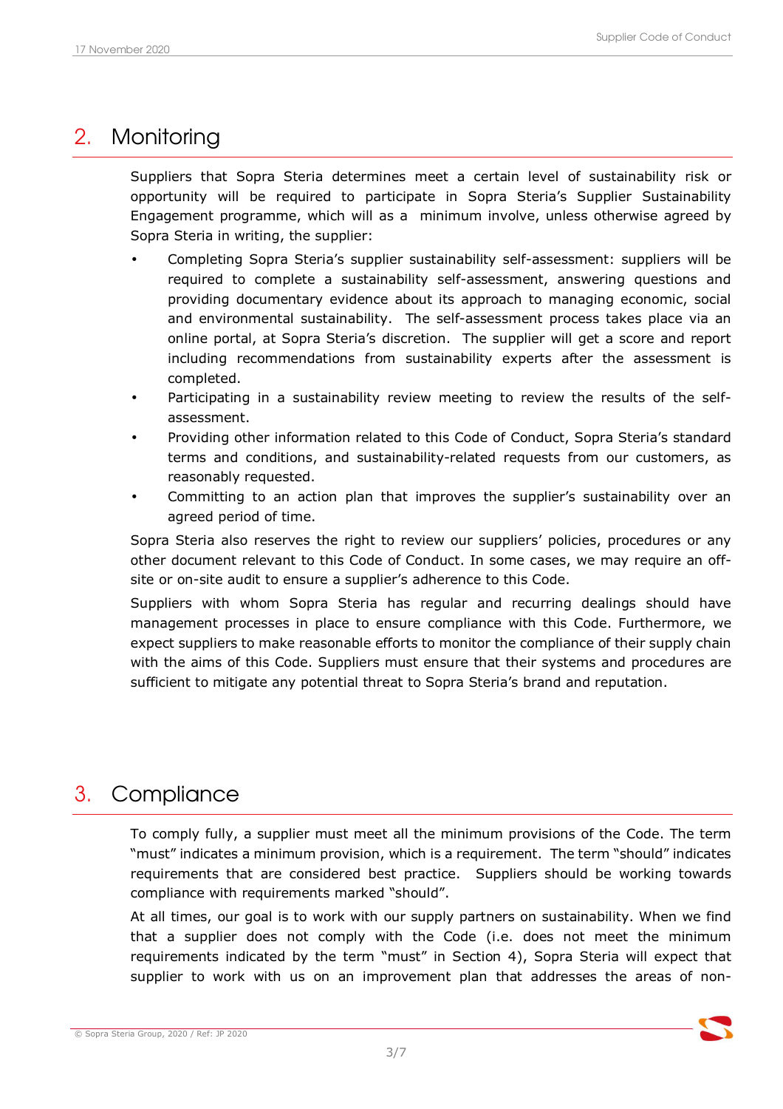## 2. Monitoring

Suppliers that Sopra Steria determines meet a certain level of sustainability risk or opportunity will be required to participate in Sopra Steria's Supplier Sustainability Engagement programme, which will as a minimum involve, unless otherwise agreed by Sopra Steria in writing, the supplier:

- Completing Sopra Steria's supplier sustainability self-assessment: suppliers will be required to complete a sustainability self-assessment, answering questions and providing documentary evidence about its approach to managing economic, social and environmental sustainability. The self-assessment process takes place via an online portal, at Sopra Steria's discretion. The supplier will get a score and report including recommendations from sustainability experts after the assessment is completed.
- Participating in a sustainability review meeting to review the results of the selfassessment.
- Providing other information related to this Code of Conduct, Sopra Steria's standard terms and conditions, and sustainability-related requests from our customers, as reasonably requested.
- Committing to an action plan that improves the supplier's sustainability over an agreed period of time.

Sopra Steria also reserves the right to review our suppliers' policies, procedures or any other document relevant to this Code of Conduct. In some cases, we may require an offsite or on-site audit to ensure a supplier's adherence to this Code.

Suppliers with whom Sopra Steria has regular and recurring dealings should have management processes in place to ensure compliance with this Code. Furthermore, we expect suppliers to make reasonable efforts to monitor the compliance of their supply chain with the aims of this Code. Suppliers must ensure that their systems and procedures are sufficient to mitigate any potential threat to Sopra Steria's brand and reputation.

## 3. Compliance

To comply fully, a supplier must meet all the minimum provisions of the Code. The term "must" indicates a minimum provision, which is a requirement. The term "should" indicates requirements that are considered best practice. Suppliers should be working towards compliance with requirements marked "should".

At all times, our goal is to work with our supply partners on sustainability. When we find that a supplier does not comply with the Code (i.e. does not meet the minimum requirements indicated by the term "must" in Section 4), Sopra Steria will expect that supplier to work with us on an improvement plan that addresses the areas of non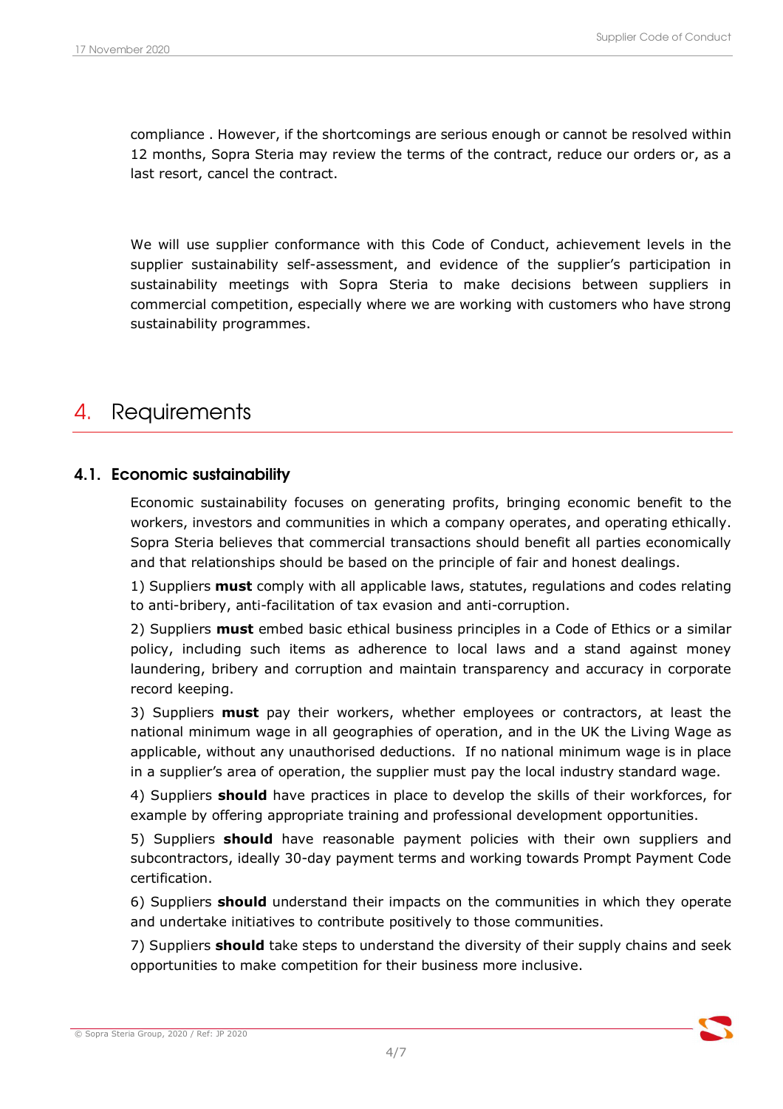compliance . However, if the shortcomings are serious enough or cannot be resolved within 12 months, Sopra Steria may review the terms of the contract, reduce our orders or, as a last resort, cancel the contract.

We will use supplier conformance with this Code of Conduct, achievement levels in the supplier sustainability self-assessment, and evidence of the supplier's participation in sustainability meetings with Sopra Steria to make decisions between suppliers in commercial competition, especially where we are working with customers who have strong sustainability programmes.

## 4. Requirements

#### 4.1. Economic sustainability

Economic sustainability focuses on generating profits, bringing economic benefit to the workers, investors and communities in which a company operates, and operating ethically. Sopra Steria believes that commercial transactions should benefit all parties economically and that relationships should be based on the principle of fair and honest dealings.

1) Suppliers **must** comply with all applicable laws, statutes, regulations and codes relating to anti-bribery, anti-facilitation of tax evasion and anti-corruption.

2) Suppliers must embed basic ethical business principles in a Code of Ethics or a similar policy, including such items as adherence to local laws and a stand against money laundering, bribery and corruption and maintain transparency and accuracy in corporate record keeping.

3) Suppliers **must** pay their workers, whether employees or contractors, at least the national minimum wage in all geographies of operation, and in the UK the Living Wage as applicable, without any unauthorised deductions. If no national minimum wage is in place in a supplier's area of operation, the supplier must pay the local industry standard wage.

4) Suppliers **should** have practices in place to develop the skills of their workforces, for example by offering appropriate training and professional development opportunities.

5) Suppliers **should** have reasonable payment policies with their own suppliers and subcontractors, ideally 30-day payment terms and working towards Prompt Payment Code certification.

6) Suppliers should understand their impacts on the communities in which they operate and undertake initiatives to contribute positively to those communities.

7) Suppliers **should** take steps to understand the diversity of their supply chains and seek opportunities to make competition for their business more inclusive.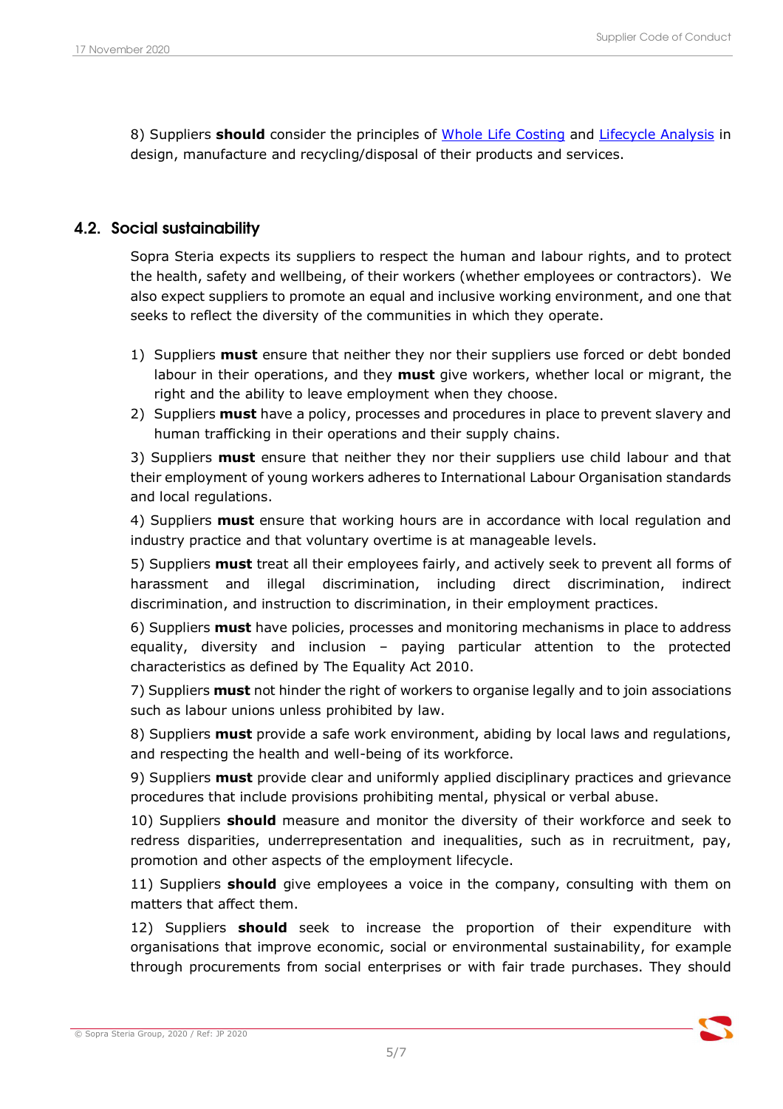8) Suppliers should consider the principles of Whole Life Costing and Lifecycle Analysis in design, manufacture and recycling/disposal of their products and services.

#### 4.2. Social sustainability

Sopra Steria expects its suppliers to respect the human and labour rights, and to protect the health, safety and wellbeing, of their workers (whether employees or contractors). We also expect suppliers to promote an equal and inclusive working environment, and one that seeks to reflect the diversity of the communities in which they operate.

- 1) Suppliers **must** ensure that neither they nor their suppliers use forced or debt bonded labour in their operations, and they must give workers, whether local or migrant, the right and the ability to leave employment when they choose.
- 2) Suppliers **must** have a policy, processes and procedures in place to prevent slavery and human trafficking in their operations and their supply chains.

3) Suppliers **must** ensure that neither they nor their suppliers use child labour and that their employment of young workers adheres to International Labour Organisation standards and local regulations.

4) Suppliers **must** ensure that working hours are in accordance with local regulation and industry practice and that voluntary overtime is at manageable levels.

5) Suppliers must treat all their employees fairly, and actively seek to prevent all forms of harassment and illegal discrimination, including direct discrimination, indirect discrimination, and instruction to discrimination, in their employment practices.

6) Suppliers must have policies, processes and monitoring mechanisms in place to address equality, diversity and inclusion – paying particular attention to the protected characteristics as defined by The Equality Act 2010.

7) Suppliers **must** not hinder the right of workers to organise legally and to join associations such as labour unions unless prohibited by law.

8) Suppliers must provide a safe work environment, abiding by local laws and regulations, and respecting the health and well-being of its workforce.

9) Suppliers **must** provide clear and uniformly applied disciplinary practices and grievance procedures that include provisions prohibiting mental, physical or verbal abuse.

10) Suppliers **should** measure and monitor the diversity of their workforce and seek to redress disparities, underrepresentation and inequalities, such as in recruitment, pay, promotion and other aspects of the employment lifecycle.

11) Suppliers **should** give employees a voice in the company, consulting with them on matters that affect them.

12) Suppliers **should** seek to increase the proportion of their expenditure with organisations that improve economic, social or environmental sustainability, for example through procurements from social enterprises or with fair trade purchases. They should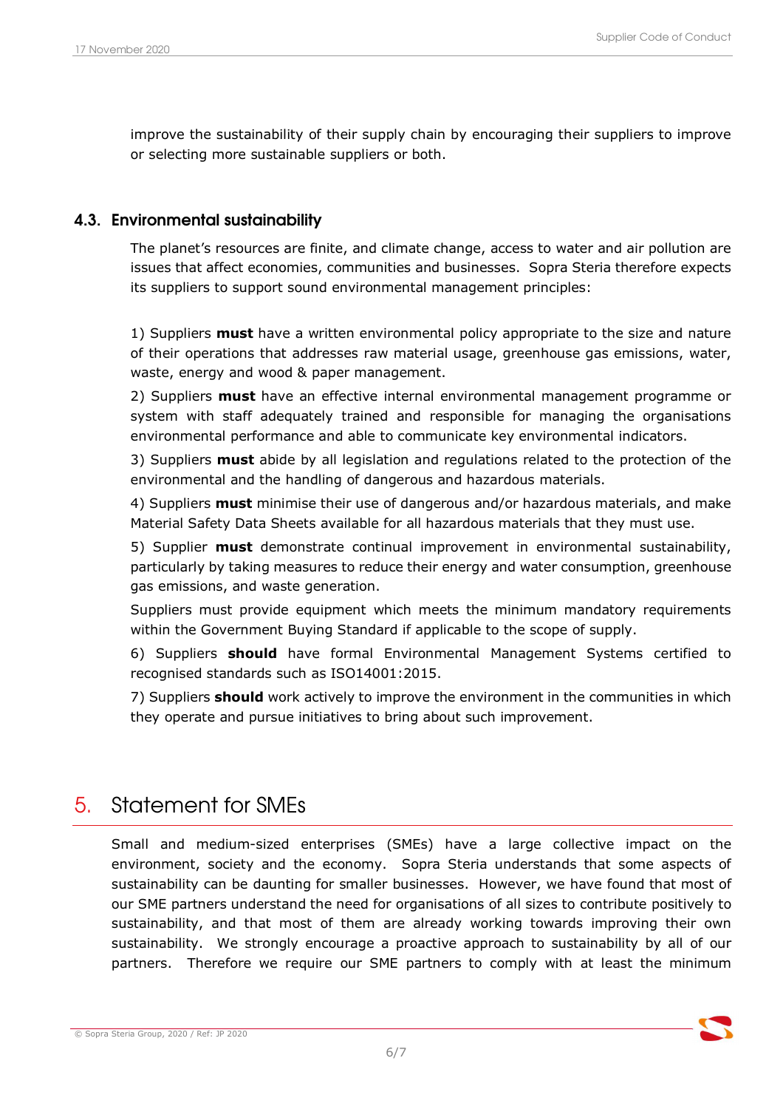improve the sustainability of their supply chain by encouraging their suppliers to improve or selecting more sustainable suppliers or both.

#### 4.3. Environmental sustainability

The planet's resources are finite, and climate change, access to water and air pollution are issues that affect economies, communities and businesses. Sopra Steria therefore expects its suppliers to support sound environmental management principles:

1) Suppliers must have a written environmental policy appropriate to the size and nature of their operations that addresses raw material usage, greenhouse gas emissions, water, waste, energy and wood & paper management.

2) Suppliers **must** have an effective internal environmental management programme or system with staff adequately trained and responsible for managing the organisations environmental performance and able to communicate key environmental indicators.

3) Suppliers **must** abide by all legislation and regulations related to the protection of the environmental and the handling of dangerous and hazardous materials.

4) Suppliers **must** minimise their use of dangerous and/or hazardous materials, and make Material Safety Data Sheets available for all hazardous materials that they must use.

5) Supplier **must** demonstrate continual improvement in environmental sustainability, particularly by taking measures to reduce their energy and water consumption, greenhouse gas emissions, and waste generation.

Suppliers must provide equipment which meets the minimum mandatory requirements within the Government Buying Standard if applicable to the scope of supply.

6) Suppliers should have formal Environmental Management Systems certified to recognised standards such as ISO14001:2015.

7) Suppliers should work actively to improve the environment in the communities in which they operate and pursue initiatives to bring about such improvement.

## 5. Statement for SMEs

Small and medium-sized enterprises (SMEs) have a large collective impact on the environment, society and the economy. Sopra Steria understands that some aspects of sustainability can be daunting for smaller businesses. However, we have found that most of our SME partners understand the need for organisations of all sizes to contribute positively to sustainability, and that most of them are already working towards improving their own sustainability. We strongly encourage a proactive approach to sustainability by all of our partners. Therefore we require our SME partners to comply with at least the minimum